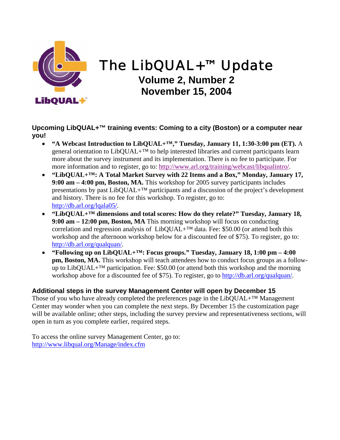

# The LibQUAL+™ Update **Volume 2, Number 2 November 15, 2004**

**Upcoming LibQUAL+™ training events: Coming to a city (Boston) or a computer near you!**

- **"A Webcast Introduction to LibQUAL+™," Tuesday, January 11, 1:30-3:00 pm (ET).** A general orientation to LibQUAL+<sup>™</sup> to help interested libraries and current participants learn more about the survey instrument and its implementation. There is no fee to participate. For more information and to register, go to: http://www.arl.org/training/webcast/libqualintro/.
- **"LibQUAL+™: A Total Market Survey with 22 Items and a Box," Monday, January 17, 9:00 am – 4:00 pm, Boston, MA.** This workshop for 2005 survey participants includes presentations by past LibQUAL+™ participants and a discussion of the project's development and history. There is no fee for this workshop. To register, go to: [http://db.arl.org/lqala05/.](http://db.arl.org/lqala05/)
- **"LibQUAL+™ dimensions and total scores: How do they relate?" Tuesday, January 18, 9:00 am – 12:00 pm, Boston, MA** This morning workshop will focus on conducting correlation and regression analysis of LibQUAL+ $^{TM}$  data. Fee: \$50.00 (or attend both this workshop and the afternoon workshop below for a discounted fee of \$75). To register, go to: [http://db.arl.org/qualquan/.](http://db.arl.org/qualquan/)
- **"Following up on LibQUAL+™: Focus groups." Tuesday, January 18, 1:00 pm 4:00 pm, Boston, MA.** This workshop will teach attendees how to conduct focus groups as a followup to LibQUAL+ $TM$  participation. Fee: \$50.00 (or attend both this workshop and the morning workshop above for a discounted fee of \$75). To register, go to<http://db.arl.org/qualquan/>.

# **Additional steps in the survey Management Center will open by December 15**

Those of you who have already completed the preferences page in the  $LibQUAL+<sup>TM</sup>$  Management Center may wonder when you can complete the next steps. By December 15 the customization page will be available online; other steps, including the survey preview and representativeness sections, will open in turn as you complete earlier, required steps.

To access the online survey Management Center, go to: [http://www.libqual.org/Manage/index.cfm](http://old.libqual.org/Manage/index.cfm)